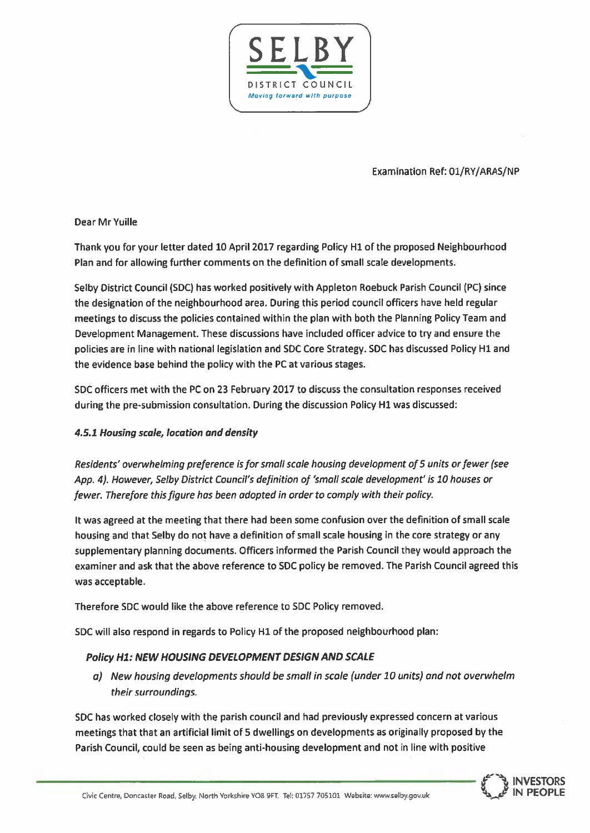

**Examination Ref: 01/RY/ARAS/NP** 

Dear Mr Yuille

Thank you for your letter dated 10 April 2017 regarding Policy H1 of the proposed Neighbourhood Plan and for allowing further comments on the definition of small scale developments.

Selby District Council (SDC) has worked positively with Appleton Roebuck Parish Council (PC) since the designation of the neighbourhood area. During this period council officers have held regular meetings to discuss the policies contained within the plan with both the Planning Policy Team and Development Management. These discussions have included officer advice to try and ensure the policies are in line with national legislation and SDC Core Strategy. SDC has discussed Policy H1 and the evidence base behind the policy with the PC at various stages.

SDC officers met with the PC on 23 February 2017 to discuss the consultation responses received during the pre-submission consultation. During the discussion Policy H1 was discussed:

### 4.5.1 Housing scale, location and density

Residents' overwhelming preference is for small scale housing development of 5 units or fewer (see App. 4). However, Selby District Council's definition of 'small scale development' is 10 houses or fewer. Therefore this figure has been adopted in order to comply with their policy.

It was agreed at the meeting that there had been some confusion over the definition of small scale housing and that Selby do not have a definition of small scale housing in the core strategy or any supplementary planning documents. Officers informed the Parish Council they would approach the examiner and ask that the above reference to SDC policy be removed. The Parish Council agreed this was acceptable.

Therefore SDC would like the above reference to SDC Policy removed.

SDC will also respond in regards to Policy H1 of the proposed neighbourhood plan:

### Policy H1: NEW HOUSING DEVELOPMENT DESIGN AND SCALE

a) New housing developments should be small in scale (under 10 units) and not overwhelm their surroundings.

SDC has worked closely with the parish council and had previously expressed concern at various meetings that that an artificial limit of 5 dwellings on developments as originally proposed by the Parish Council, could be seen as being anti-housing development and not in line with positive

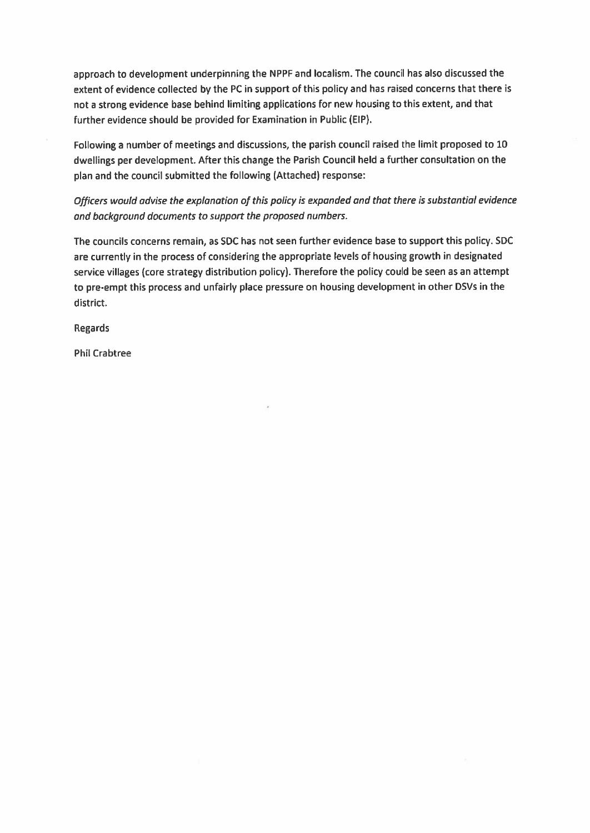approach to development underpinning the NPPF and localism. The council has also discussed the extent of evidence collected by the PC in support of this policy and has raised concerns that there is not a strong evidence base behind limiting applications for new housing to this extent, and that further evidence should be provided for Examination in Public (EIP).

Following a number of meetings and discussions, the parish council raised the limit proposed to 10 dwellings per development. After this change the Parish Council held a further consultation on the plan and the council submitted the following (Attached) response:

Officers would advise the explanation of this policy is expanded and that there is substantial evidence and background documents to support the proposed numbers.

The councils concerns remain, as SDC has not seen further evidence base to support this policy. SDC are currently in the process of considering the appropriate levels of housing growth in designated service villages (core strategy distribution policy). Therefore the policy could be seen as an attempt to pre-empt this process and unfairly place pressure on housing development in other DSVs in the district.

**Regards** 

**Phil Crabtree**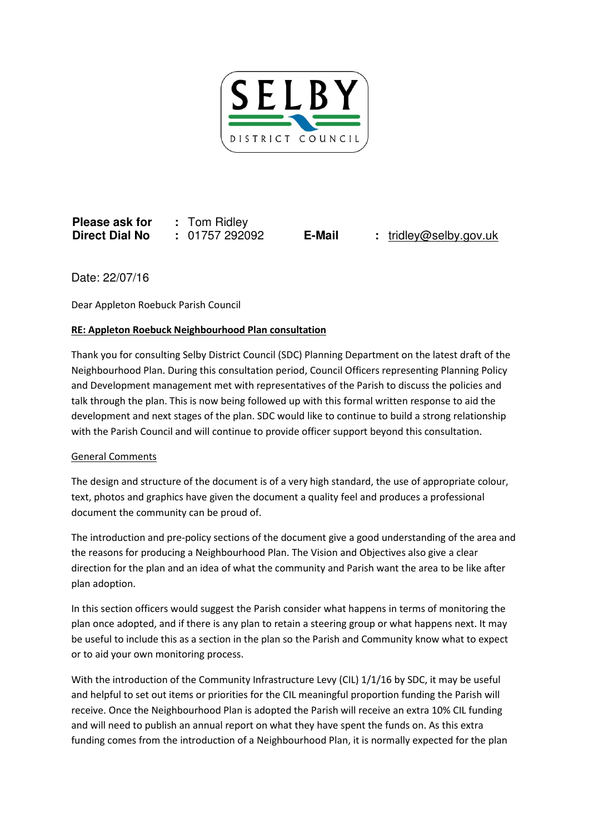

**Please ask for :** Tom Ridley **Direct Dial No :** 01757 292092 **E-Mail :** tridley@selby.gov.uk

Date: 22/07/16

Dear Appleton Roebuck Parish Council

# RE: Appleton Roebuck Neighbourhood Plan consultation

Thank you for consulting Selby District Council (SDC) Planning Department on the latest draft of the Neighbourhood Plan. During this consultation period, Council Officers representing Planning Policy and Development management met with representatives of the Parish to discuss the policies and talk through the plan. This is now being followed up with this formal written response to aid the development and next stages of the plan. SDC would like to continue to build a strong relationship with the Parish Council and will continue to provide officer support beyond this consultation.

### General Comments

The design and structure of the document is of a very high standard, the use of appropriate colour, text, photos and graphics have given the document a quality feel and produces a professional document the community can be proud of.

The introduction and pre-policy sections of the document give a good understanding of the area and the reasons for producing a Neighbourhood Plan. The Vision and Objectives also give a clear direction for the plan and an idea of what the community and Parish want the area to be like after plan adoption.

In this section officers would suggest the Parish consider what happens in terms of monitoring the plan once adopted, and if there is any plan to retain a steering group or what happens next. It may be useful to include this as a section in the plan so the Parish and Community know what to expect or to aid your own monitoring process.

With the introduction of the Community Infrastructure Levy (CIL) 1/1/16 by SDC, it may be useful and helpful to set out items or priorities for the CIL meaningful proportion funding the Parish will receive. Once the Neighbourhood Plan is adopted the Parish will receive an extra 10% CIL funding and will need to publish an annual report on what they have spent the funds on. As this extra funding comes from the introduction of a Neighbourhood Plan, it is normally expected for the plan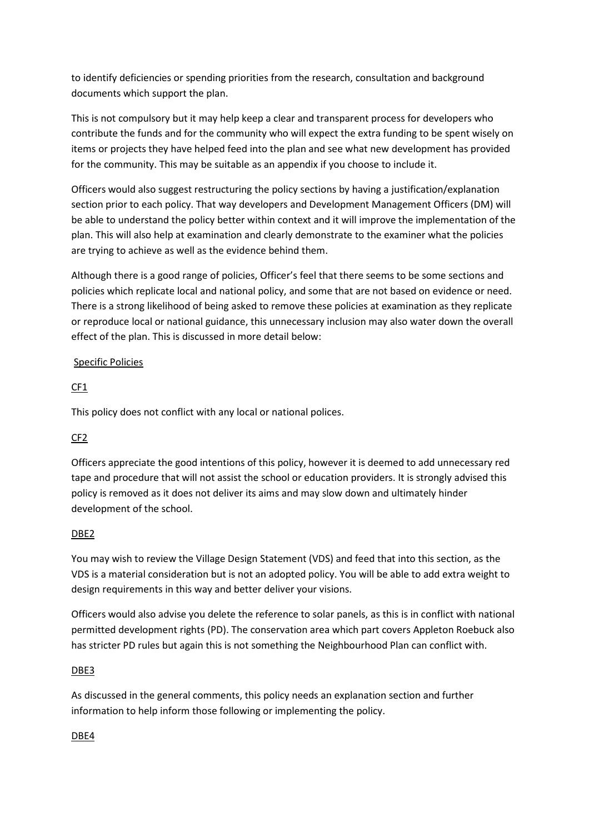to identify deficiencies or spending priorities from the research, consultation and background documents which support the plan.

This is not compulsory but it may help keep a clear and transparent process for developers who contribute the funds and for the community who will expect the extra funding to be spent wisely on items or projects they have helped feed into the plan and see what new development has provided for the community. This may be suitable as an appendix if you choose to include it.

Officers would also suggest restructuring the policy sections by having a justification/explanation section prior to each policy. That way developers and Development Management Officers (DM) will be able to understand the policy better within context and it will improve the implementation of the plan. This will also help at examination and clearly demonstrate to the examiner what the policies are trying to achieve as well as the evidence behind them.

Although there is a good range of policies, Officer's feel that there seems to be some sections and policies which replicate local and national policy, and some that are not based on evidence or need. There is a strong likelihood of being asked to remove these policies at examination as they replicate or reproduce local or national guidance, this unnecessary inclusion may also water down the overall effect of the plan. This is discussed in more detail below:

# Specific Policies

# CF1

This policy does not conflict with any local or national polices.

# CF2

Officers appreciate the good intentions of this policy, however it is deemed to add unnecessary red tape and procedure that will not assist the school or education providers. It is strongly advised this policy is removed as it does not deliver its aims and may slow down and ultimately hinder development of the school.

### DBE2

You may wish to review the Village Design Statement (VDS) and feed that into this section, as the VDS is a material consideration but is not an adopted policy. You will be able to add extra weight to design requirements in this way and better deliver your visions.

Officers would also advise you delete the reference to solar panels, as this is in conflict with national permitted development rights (PD). The conservation area which part covers Appleton Roebuck also has stricter PD rules but again this is not something the Neighbourhood Plan can conflict with.

### DBE3

As discussed in the general comments, this policy needs an explanation section and further information to help inform those following or implementing the policy.

### DBE4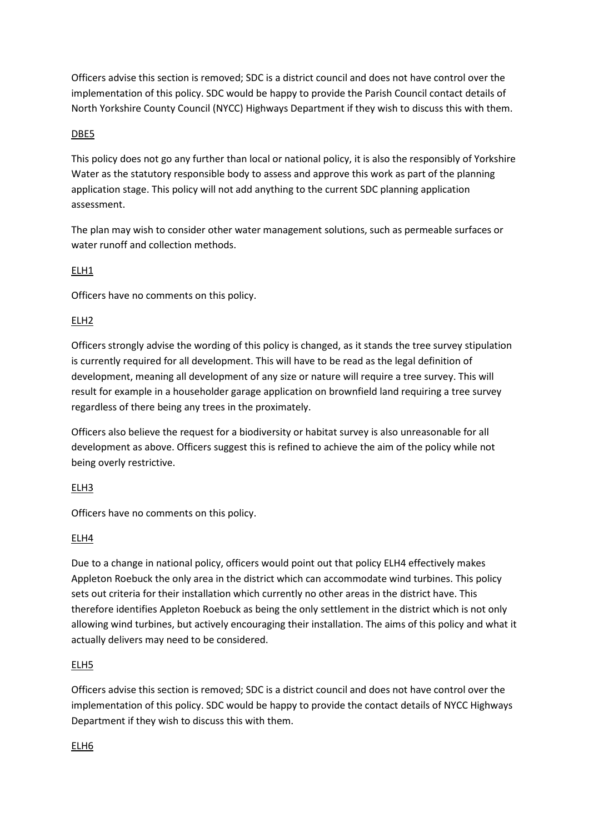Officers advise this section is removed; SDC is a district council and does not have control over the implementation of this policy. SDC would be happy to provide the Parish Council contact details of North Yorkshire County Council (NYCC) Highways Department if they wish to discuss this with them.

## DBE5

This policy does not go any further than local or national policy, it is also the responsibly of Yorkshire Water as the statutory responsible body to assess and approve this work as part of the planning application stage. This policy will not add anything to the current SDC planning application assessment.

The plan may wish to consider other water management solutions, such as permeable surfaces or water runoff and collection methods.

### ELH1

Officers have no comments on this policy.

# ELH2

Officers strongly advise the wording of this policy is changed, as it stands the tree survey stipulation is currently required for all development. This will have to be read as the legal definition of development, meaning all development of any size or nature will require a tree survey. This will result for example in a householder garage application on brownfield land requiring a tree survey regardless of there being any trees in the proximately.

Officers also believe the request for a biodiversity or habitat survey is also unreasonable for all development as above. Officers suggest this is refined to achieve the aim of the policy while not being overly restrictive.

### ELH3

Officers have no comments on this policy.

### ELH4

Due to a change in national policy, officers would point out that policy ELH4 effectively makes Appleton Roebuck the only area in the district which can accommodate wind turbines. This policy sets out criteria for their installation which currently no other areas in the district have. This therefore identifies Appleton Roebuck as being the only settlement in the district which is not only allowing wind turbines, but actively encouraging their installation. The aims of this policy and what it actually delivers may need to be considered.

### ELH5

Officers advise this section is removed; SDC is a district council and does not have control over the implementation of this policy. SDC would be happy to provide the contact details of NYCC Highways Department if they wish to discuss this with them.

### ELH6